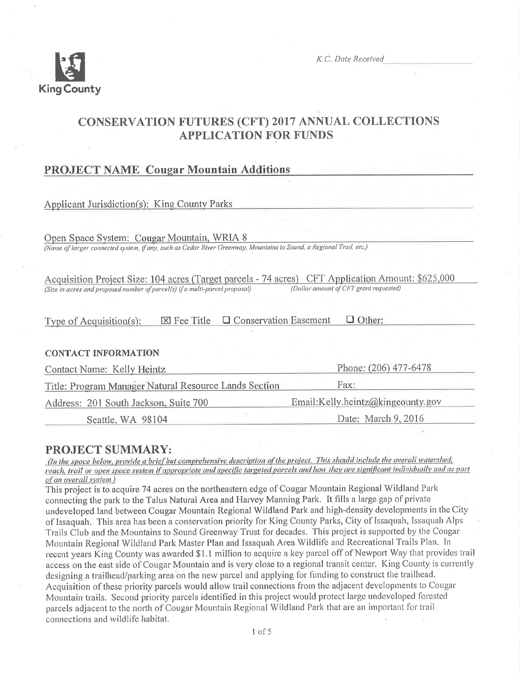

K.C. Date Received

# **CONSERVATION FUTURES (CFT) 2017 ANNUAL COLLECTIONS APPLICATION FOR FUNDS**

## **PROJECT NAME Cougar Mountain Additions**

**Applicant Jurisdiction(s): King County Parks** 

Open Space System: Cougar Mountain, WRIA 8 (Name of larger connected system, if any, such as Cedar River Greenway, Mountains to Sound, a Regional Trail, etc.)

Acquisition Project Size: 104 acres (Target parcels - 74 acres) CFT Application Amount: \$625,000 (Dollar amount of CFT grant requested) (Size in acres and proposed number of parcel(s) if a multi-parcel proposal)

 $\boxtimes$  Fee Title  $\Box$  Conservation Easement  $\Box$  Other: Type of  $Acquistion(s)$ :

## **CONTACT INFORMATION**

| Contact Name: Kelly Heintz                            | Phone: (206) 477-6478<br>Fax:     |  |
|-------------------------------------------------------|-----------------------------------|--|
| Title: Program Manager Natural Resource Lands Section |                                   |  |
| Address: 201 South Jackson, Suite 700                 | Email:Kelly.heintz@kingcounty.gov |  |
| Seattle, WA 98104                                     | Date: March 9, 2016               |  |

## **PROJECT SUMMARY:**

(In the space below, provide a brief but comprehensive description of the project. This should include the overall watershed, reach, trail or open space system if appropriate and specific targeted parcels and how they are significant individually and as part of an overall system.)

This project is to acquire 74 acres on the northeastern edge of Cougar Mountain Regional Wildland Park connecting the park to the Talus Natural Area and Harvey Manning Park. It fills a large gap of private undeveloped land between Cougar Mountain Regional Wildland Park and high-density developments in the City of Issaquah. This area has been a conservation priority for King County Parks, City of Issaquah, Issaquah Alps Trails Club and the Mountains to Sound Greenway Trust for decades. This project is supported by the Cougar Mountain Regional Wildland Park Master Plan and Issaquah Area Wildlife and Recreational Trails Plan. In recent years King County was awarded \$1.1 million to acquire a key parcel off of Newport Way that provides trail access on the east side of Cougar Mountain and is very close to a regional transit center. King County is currently designing a trailhead/parking area on the new parcel and applying for funding to construct the trailhead. Acquisition of these priority parcels would allow trail connections from the adjacent developments to Cougar Mountain trails. Second priority parcels identified in this project would protect large undeveloped forested parcels adjacent to the north of Cougar Mountain Regional Wildland Park that are an important for trail connections and wildlife habitat.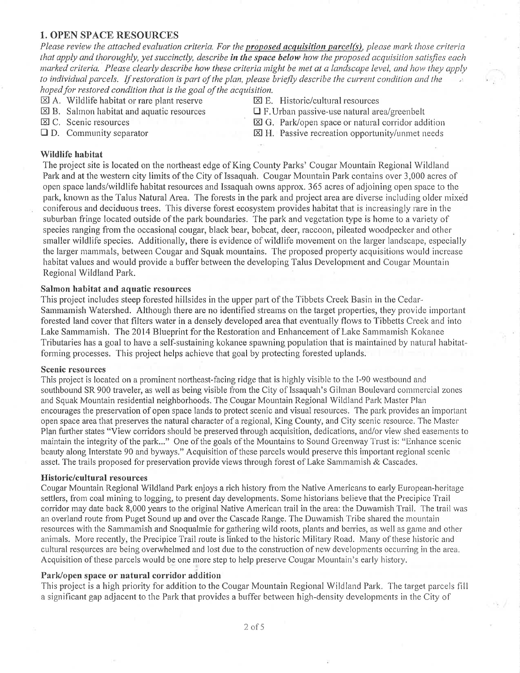## **1. OPEN SPACE RESOURCES**

Please review the attached evaluation criteria. For the **proposed acquisition parcel(s)**, please mark those criteria that apply and thoroughly, yet succinctly, describe in the space below how the proposed acquisition satisfies each marked criteria. Please clearly describe how these criteria might be met at a landscape level, and how they apply to individual parcels. If restoration is part of the plan, please briefly describe the current condition and the hoped for restored condition that is the goal of the acquisition.

- $\boxtimes$  A. Wildlife habitat or rare plant reserve
- $\boxtimes$  B. Salmon habitat and aquatic resources

区 C. Scenic resources

 $\boxtimes$  E. Historic/cultural resources

 $\Box$  F. Urban passive-use natural area/greenbelt

 $\Box$  D. Community separator

 $\boxtimes$  G. Park/open space or natural corridor addition  $\boxtimes$  H. Passive recreation opportunity/unmet needs

## Wildlife habitat

The project site is located on the northeast edge of King County Parks' Cougar Mountain Regional Wildland Park and at the western city limits of the City of Issaquah. Cougar Mountain Park contains over 3,000 acres of open space lands/wildlife habitat resources and Issaguah owns approx. 365 acres of adjoining open space to the park, known as the Talus Natural Area. The forests in the park and project area are diverse including older mixed coniferous and deciduous trees. This diverse forest ecosystem provides habitat that is increasingly rare in the suburban fringe located outside of the park boundaries. The park and vegetation type is home to a variety of species ranging from the occasional cougar, black bear, bobcat, deer, raccoon, pileated woodpecker and other smaller wildlife species. Additionally, there is evidence of wildlife movement on the larger landscape, especially the larger mammals, between Cougar and Squak mountains. The proposed property acquisitions would increase habitat values and would provide a buffer between the developing Talus Development and Cougar Mountain Regional Wildland Park.

#### Salmon habitat and aquatic resources

This project includes steep forested hillsides in the upper part of the Tibbets Creek Basin in the Cedar-Sammamish Watershed. Although there are no identified streams on the target properties, they provide important forested land cover that filters water in a densely developed area that eventually flows to Tibbetts Creek and into Lake Sammamish. The 2014 Blueprint for the Restoration and Enhancement of Lake Sammamish Kokanee Tributaries has a goal to have a self-sustaining kokanee spawning population that is maintained by natural habitatforming processes. This project helps achieve that goal by protecting forested uplands.

### **Scenic resources**

This project is located on a prominent northeast-facing ridge that is highly visible to the I-90 westbound and southbound SR 900 traveler, as well as being visible from the City of Issaquah's Gilman Boulevard commercial zones and Squak Mountain residential neighborhoods. The Cougar Mountain Regional Wildland Park Master Plan encourages the preservation of open space lands to protect scenic and visual resources. The park provides an important open space area that preserves the natural character of a regional, King County, and City scenic resource. The Master Plan further states "View corridors should be preserved through acquisition, dedications, and/or view shed easements to maintain the integrity of the park..." One of the goals of the Mountains to Sound Greenway Trust is: "Enhance scenic beauty along Interstate 90 and byways." Acquisition of these parcels would preserve this important regional scenic asset. The trails proposed for preservation provide views through forest of Lake Sammamish & Cascades.

#### **Historic/cultural resources**

Cougar Mountain Regional Wildland Park enjoys a rich history from the Native Americans to early European-heritage settlers, from coal mining to logging, to present day developments. Some historians believe that the Precipice Trail corridor may date back 8,000 years to the original Native American trail in the area: the Duwamish Trail. The trail was an overland route from Puget Sound up and over the Cascade Range. The Duwamish Tribe shared the mountain resources with the Sammamish and Snoqualmie for gathering wild roots, plants and berries, as well as game and other animals. More recently, the Precipice Trail route is linked to the historic Military Road. Many of these historic and cultural resources are being overwhelmed and lost due to the construction of new developments occurring in the area. Acquisition of these parcels would be one more step to help preserve Cougar Mountain's early history.

#### Park/open space or natural corridor addition

This project is a high priority for addition to the Cougar Mountain Regional Wildland Park. The target parcels fill a significant gap adjacent to the Park that provides a buffer between high-density developments in the City of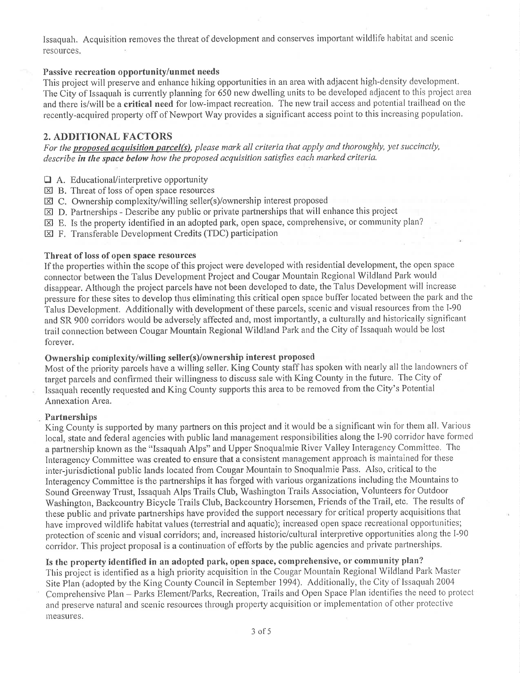Issaquah. Acquisition removes the threat of development and conserves important wildlife habitat and scenic resources.

## Passive recreation opportunity/unmet needs

This project will preserve and enhance hiking opportunities in an area with adjacent high-density development. The City of Issaquah is currently planning for 650 new dwelling units to be developed adjacent to this project area and there is/will be a critical need for low-impact recreation. The new trail access and potential trailhead on the recently-acquired property off of Newport Way provides a significant access point to this increasing population.

## 2. ADDITIONAL FACTORS

For the proposed acquisition parcel(s), please mark all criteria that apply and thoroughly, yet succinctly, describe in the space below how the proposed acquisition satisfies each marked criteria.

- $\Box$  A. Educational/interpretive opportunity
- $\boxtimes$  B. Threat of loss of open space resources
- $\boxtimes$  C. Ownership complexity/willing seller(s)/ownership interest proposed
- $\boxtimes$  D. Partnerships Describe any public or private partnerships that will enhance this project
- El E. Is the property identified in an adopted park, open space, comprehensive, or comrnunity plan?
- $\boxtimes$  F. Transferable Development Credits (TDC) participation

## Threat of loss of open space resources

If the properties within the scope of this project were developed with residential development, the open space connector between the Talus Developrnent Project and Cougar Mountain Regional Wildland Park would disappear. Although the project parcels have not been developed to date, the Talus Development will increase pressure for these sites to develop thus eliminating this critical open space buffer located between the park and the Talus Development. Additionally with development of these parcels, scenic and visual resources from the I-90 and SR 900 corridors would be adversely affected and, most importantly, a culturally and historically significant trail connection between Cougar Mountain Regional Wildland Park and the City of Issaquah would be lost forever.

## Ownership coniplexity/willing seller(s)/ownership interest proposed

Most of the priority parcels have a willing seller. King County staff has spoken with nearly all the landowners of target parcels and confirmed their willingness to discuss sale with King County in the future. The City of Issaquah recently requested and King County supports this area to be removed from the City's Potential Annexation Area.

#### Partnerships

King County is supported by many partners on this project and it would be a significant win for them all. Various local, state and federal agencies with public land management responsibilities along the I-90 corridor have formed a partnership known as the "Issaquah Alps" and Upper Snoqualmie River Valley Interagency Committee. The Interagency Committee was created to ensure that a consistent management approach is maintained for these inter-jurisdictional public lands located from Cougar Mountain to Snoqualmie Pass. Also, critical to the Interagency Committee is the partnerships it has forged with various organizations including the Mountains to Sound Greenway Trust, Issaquah Alps Trails Club, Washington Trails Association, Volunteers for Outdoor Washington, Backcountry Bicycle Trails Club, Backcountry Horsemen, Friends of the Trail, etc. The results of these public and private partnerships have provided the support necessary for critical property acquisitions that have improved wildlife habitat values (terrestrial and aquatic); increased open space recreational opportunities; protection of scenic and visual corridors; and, increased historic/cultural interpretive opportunities along the I-90 corridor. This project proposal is a continuation of efforts by the public agencies and private partnerships.

Is the property identified in an adopted park, open space, comprehensivc, or community plan? This project is identified as a high priority acquisition in the Cougar Mountain Regional Wildland Park Master Site Plan (adopted by the King County Council in September 1994). Additionally, the City of Issaquah 2004 Comprehensive Plan - Parks Element/Parks, Recreation, Trails and Open Space Plan identifies the need to protect and preserve natural and scenic resources through property acquisition or implementation of other protective measures.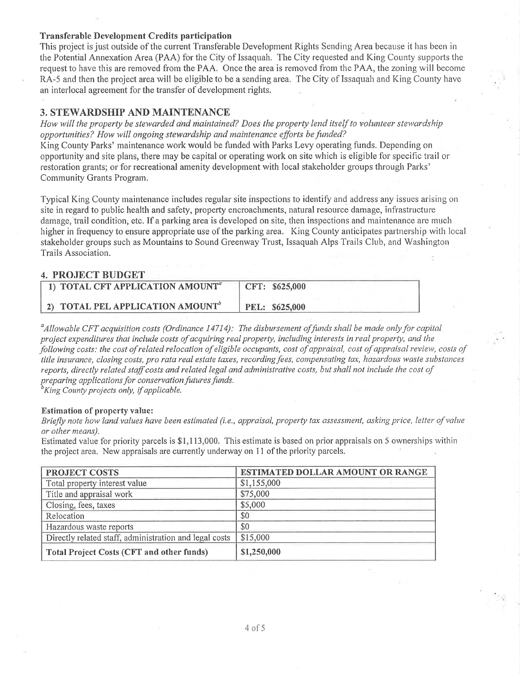## Transferable Development Credits participation

This project is just outside of the current Transferable Development Rights Sending Area because it has been in the Potential Annexation Area (PAA) for the City of Issaquah. The City requested and King County supports the request to have this are removed from the PAA. Once the area is removed from the PAA, the zoning will become RA-5 and then the project area will be eligible to be a sending area. The City of Issaquah and King County have an interlocal agreement for the transfer of development rights.

## 3. STEWARDSHIP AND MAINTENANCE

How will the property be stewarded and maintained? Does the property lend itself to volunteer stewardship opportunities? How will ongoing stewardship and maintenance efforts be funded?

King County Parks' maintenance work would be funded with Parks Levy operating funds. Depending on opportunity and site plans, there rnay be capital or operating work on site which is eligible for specific trail or restoration grants; or for recreational amenity development with local stakeholder groups through Parks' Community Grants Program.

Typical King County maintenance includes regular site inspections to identify and addless any issues arising on site in regard to public health and safety, property encroachments, natural resource damage, infrastructure damage, trail condition, etc. If a parking area is developed on site, then inspections and maintenance are much higher in frequency to ensure appropriate use of the parking area. King County anticipates partnership with local stakeholder groups such as Mountains to Sound Greenway Trust, Issaquah Alps Trails Club, and Washington Trails Association.

## 4. PROJECT BUDGET

| 1) TOTAL CFT APPLICATION AMOUNT <sup>a</sup> | CFT: \$625,000        |
|----------------------------------------------|-----------------------|
| 2) TOTAL PEL APPLICATION AMOUNT <sup>b</sup> | <b>PEL: \$625,000</b> |

<sup>a</sup>Allowable CFT acquisition costs (Ordinance 14714): The disbursement of funds shall be made only for capital project expenditures that ínclude costs of acquiring real property, including interests in real property, and lhe following costs: the cost of related relocation of eligible occupants, cost of appraisal, cost of appraisal review, costs of title insurance, closing costs, pro rata real estate taxes, recording fees, compensating tax, hazardous waste substances reports, directly related staff costs and related legal and administrative costs, but shall not include the cost of preparing applications for conservation futures funds.<br><sup>b</sup>King County projects only, if applicable.

#### Estimation of property value:

Briefly note how land values have been estimated (i.e., appraisal, property tax assessment, asking price, letter of value or other means).

Estimated value for priority parcels is \$1,113,000. This estimate is based on prior appraisals on 5 ownerships within the project area. New appraisals are currently underway on 11 of the priority parcels.

| <b>PROJECT COSTS</b>                                   | ESTIMATED DOLLAR AMOUNT OR RANGE |  |
|--------------------------------------------------------|----------------------------------|--|
| Total property interest value                          | \$1,155,000                      |  |
| Title and appraisal work                               | \$75,000                         |  |
| Closing, fees, taxes                                   | \$5,000                          |  |
| Relocation                                             | \$0                              |  |
| Hazardous waste reports                                | \$0                              |  |
| Directly related staff, administration and legal costs | \$15,000                         |  |
| <b>Total Project Costs (CFT and other funds)</b>       | \$1,250,000                      |  |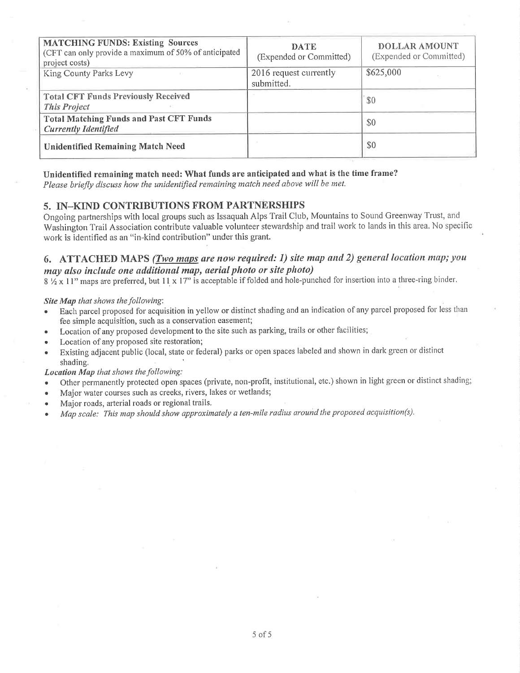| <b>MATCHING FUNDS: Existing Sources</b><br>(CFT can only provide a maximum of 50% of anticipated<br>project costs) | <b>DATE</b><br>(Expended or Committed) | <b>DOLLAR AMOUNT</b><br>(Expended or Committed) |
|--------------------------------------------------------------------------------------------------------------------|----------------------------------------|-------------------------------------------------|
| King County Parks Levy                                                                                             | 2016 request currently<br>submitted.   | \$625,000                                       |
| <b>Total CFT Funds Previously Received</b><br><b>This Project</b>                                                  |                                        | \$0                                             |
| <b>Total Matching Funds and Past CFT Funds</b><br><b>Currently Identified</b>                                      |                                        | \$0                                             |
| <b>Unidentified Remaining Match Need</b>                                                                           |                                        | \$0                                             |

## Unidentified remaining match need: What funds are anticipated and what is the time frame?

Please briefly discuss how the unidentified remaining match need above will be met.

## 5. IN-KIND CONTRIBUTIONS FROM PARTNERSHIPS

Ongoing partnerships with local groups such as Issaquah Alps Trail Club, Mountains to Sound Greenway Trust, and Washington Trail Association contribute valuable volunteer stewardship and trail work to lands in this area. No specific work is identified as an "in-kind contribution" under this grant.

## 6. ATTACHED MAPS (Two maps are now required: 1) site map and 2) general location map; you may also include one additional map, aerial photo or site photo)

8 1/2 x 11" maps are preferred, but 11 x 17" is acceptable if folded and hole-punched for insertion into a three-ring binder.

#### Site Map that shows the following:

- Each parcel proposed for acquisition in yellow or distinct shading and an indication of any parcel proposed for less than fee simple acquisition, such as a conservation easement;
- Location of any proposed development to the site such as parking, trails or other facilities;
- Location of any proposed site restoration;
- Existing adjacent public (local, state or federal) parks or open spaces labeled and shown in dark green or distinct shading.

#### Location Map that shows the following:

- Other permanently protected open spaces (private, non-profit, institutional, etc.) shown in light green or distinct shading;
- Major water courses such as creeks, rivers, lakes or wetlands;
- Major roads, arterial roads or regional trails.
- Map scale: This map should show approximately a ten-mile radius around the proposed acquisition(s).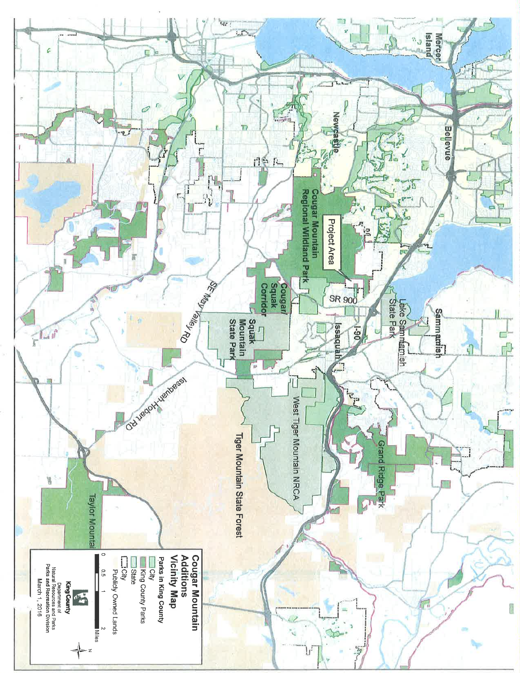